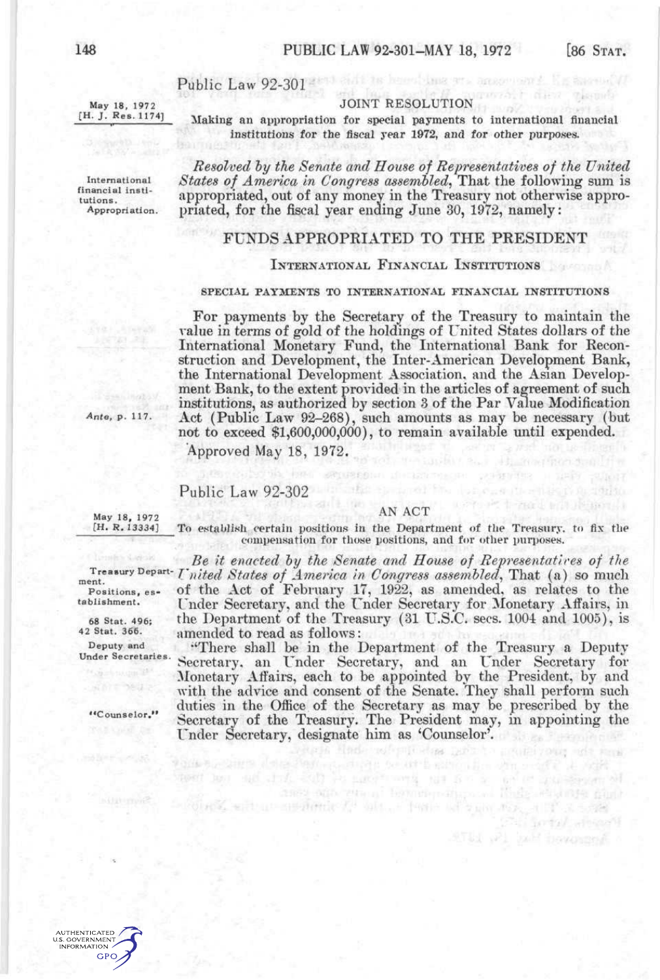**River** 

Sortal Helsen

a will be bounded

# Public Law 92-301 Public Law 92-301

May 18, 1972 [H. J. Res. 1174]

#### JOINT RESOLUTION

Making an appropriation for special payments to international financial institutions for the fiscal year 1972, and for other purposes.

*Resolved hy the Senate and House of Representatives of the United*  International *States of America in Congress assembled*, That the following sum is<br>
financial institution contract the contract of the contract of the contract of the contract of the contract of the contract of the contrac Interations. This appropriated, out of any money in the Treasury not otherwise appro-Appropriation, priated, for the fiscal year ending June 30, 1972, namely:

### FUNDS APPROPRIATED TO THE PRESIDENT

#### INTERNATIONAL FINANCIAL INSTITUTIONS

#### SPECIAL PAYMENTS TO INTERNATIONAL FINANCIAL INSTITUTIONS

For payments by the Secretary of the Treasury to maintain the value in terms of gold of the holdings of United States dollars of the International Monetary Fund, the International Bank for Reconstruction and Development, the Inter-American Development Bank, the International Development Association, and the Asian Development Bank, to the extent provided in the articles of agreement of such institutions, as authorized by section 3 of the Par Value Modification Act (Public Law 92-268), such amounts as may be necessary (but not to exceed \$1,600,000,000), to remain available until expended.

Approved May 18, 1972.

## Public Law 92-302

**POSSED AND DRIVEN AND REA** 

#### AN ACT

May 18, 1972<br>[H. R. 13334]

*Ante, p. 117.* 

To establish certain positions in the Department of the Treasury, to fix the compensation for tliose positions, and for other purposes.

ment. Positions, establishment.

68 Stat. 496; 42 Stat. 366.

Deputy and

*Be it enacted hy the Senate and House of Representatlres of the United States of America in Congress assembled,* That (a) so much Treasury Departof the Act of February 17, 1922, as amended, as relates to the Under Secretary, and the Under Secretary for Monetary Affairs, in the Department of the Treasury (31 U.S.C. secs. 1004 and 1005), is amended to read as follows:

''There shall be in the Department of the Treasury a Deputy Under Secretaries. Secretary, an Under Secretary, and an Under Secretary for Monetary Affairs, each to be appointed by the President, by and with the advice and consent of the Senate. They shall perform such duties in the Office of the Secretary as may be prescribed by the "Counselor. Secretary of the Treasury. The President may, in appointing the Under Secretary, designate him as 'Counselor'.

ass one cross become compared forts electronic mate

tale their referritories new

of the sale of a similar fit of the Posts of spot and a sense

went has said and with his match with the first a